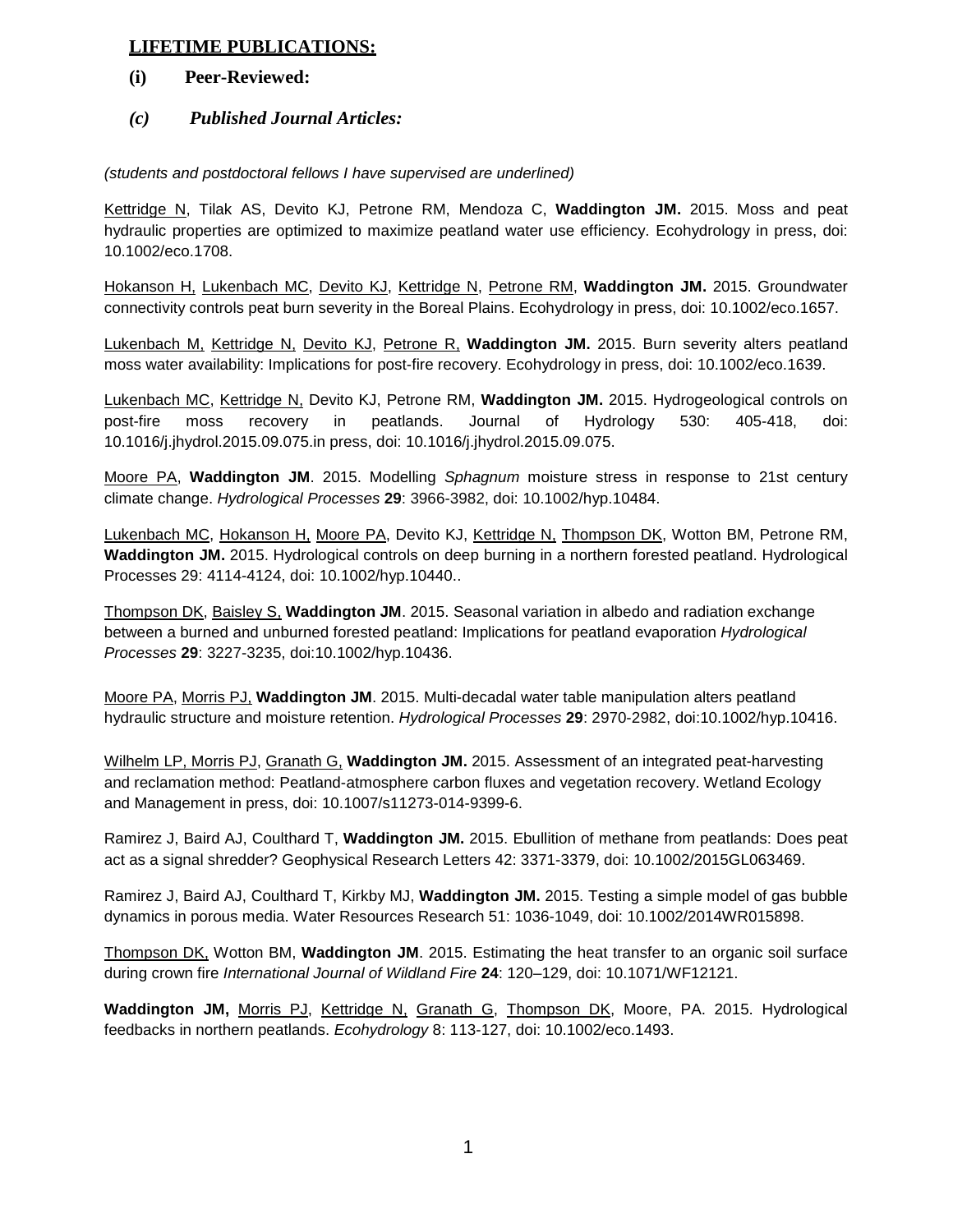## **LIFETIME PUBLICATIONS:**

## **(i) Peer-Reviewed:**

## *(c) Published Journal Articles:*

## *(students and postdoctoral fellows I have supervised are underlined)*

Kettridge N, Tilak AS, Devito KJ, Petrone RM, Mendoza C, **Waddington JM.** 2015. Moss and peat hydraulic properties are optimized to maximize peatland water use efficiency. Ecohydrology in press, doi: 10.1002/eco.1708.

Hokanson H, Lukenbach MC, Devito KJ, Kettridge N, Petrone RM, **Waddington JM.** 2015. Groundwater connectivity controls peat burn severity in the Boreal Plains. Ecohydrology in press, doi: 10.1002/eco.1657.

Lukenbach M, Kettridge N, Devito KJ, Petrone R, **Waddington JM.** 2015. Burn severity alters peatland moss water availability: Implications for post-fire recovery. Ecohydrology in press, doi: 10.1002/eco.1639.

Lukenbach MC, Kettridge N, Devito KJ, Petrone RM, **Waddington JM.** 2015. Hydrogeological controls on post-fire moss recovery in peatlands. Journal of Hydrology 530: 405-418, doi: 10.1016/j.jhydrol.2015.09.075.in press, doi: 10.1016/j.jhydrol.2015.09.075.

Moore PA, **Waddington JM**. 2015. Modelling *Sphagnum* moisture stress in response to 21st century climate change. *Hydrological Processes* **29**: 3966-3982, doi: 10.1002/hyp.10484.

Lukenbach MC, Hokanson H, Moore PA, Devito KJ, Kettridge N, Thompson DK, Wotton BM, Petrone RM, **Waddington JM.** 2015. Hydrological controls on deep burning in a northern forested peatland. Hydrological Processes 29: 4114-4124, doi: 10.1002/hyp.10440..

Thompson DK, Baisley S, **Waddington JM**. 2015. Seasonal variation in albedo and radiation exchange between a burned and unburned forested peatland: Implications for peatland evaporation *Hydrological Processes* **29**: 3227-3235, doi:10.1002/hyp.10436.

Moore PA, Morris PJ, **Waddington JM**. 2015. Multi-decadal water table manipulation alters peatland hydraulic structure and moisture retention. *Hydrological Processes* **29**: 2970-2982, doi:10.1002/hyp.10416.

Wilhelm LP, Morris PJ, Granath G, **Waddington JM.** 2015. Assessment of an integrated peat-harvesting and reclamation method: Peatland-atmosphere carbon fluxes and vegetation recovery. Wetland Ecology and Management in press, doi: 10.1007/s11273-014-9399-6.

Ramirez J, Baird AJ, Coulthard T, **Waddington JM.** 2015. Ebullition of methane from peatlands: Does peat act as a signal shredder? Geophysical Research Letters 42: 3371-3379, doi: 10.1002/2015GL063469.

Ramirez J, Baird AJ, Coulthard T, Kirkby MJ, **Waddington JM.** 2015. Testing a simple model of gas bubble dynamics in porous media. Water Resources Research 51: 1036-1049, doi: 10.1002/2014WR015898.

Thompson DK, Wotton BM, **Waddington JM**. 2015. Estimating the heat transfer to an organic soil surface during crown fire *International Journal of Wildland Fire* **24**: 120–129, doi: 10.1071/WF12121.

**Waddington JM,** Morris PJ, Kettridge N, Granath G, Thompson DK, Moore, PA. 2015. Hydrological feedbacks in northern peatlands. *Ecohydrology* 8: 113-127, doi: 10.1002/eco.1493.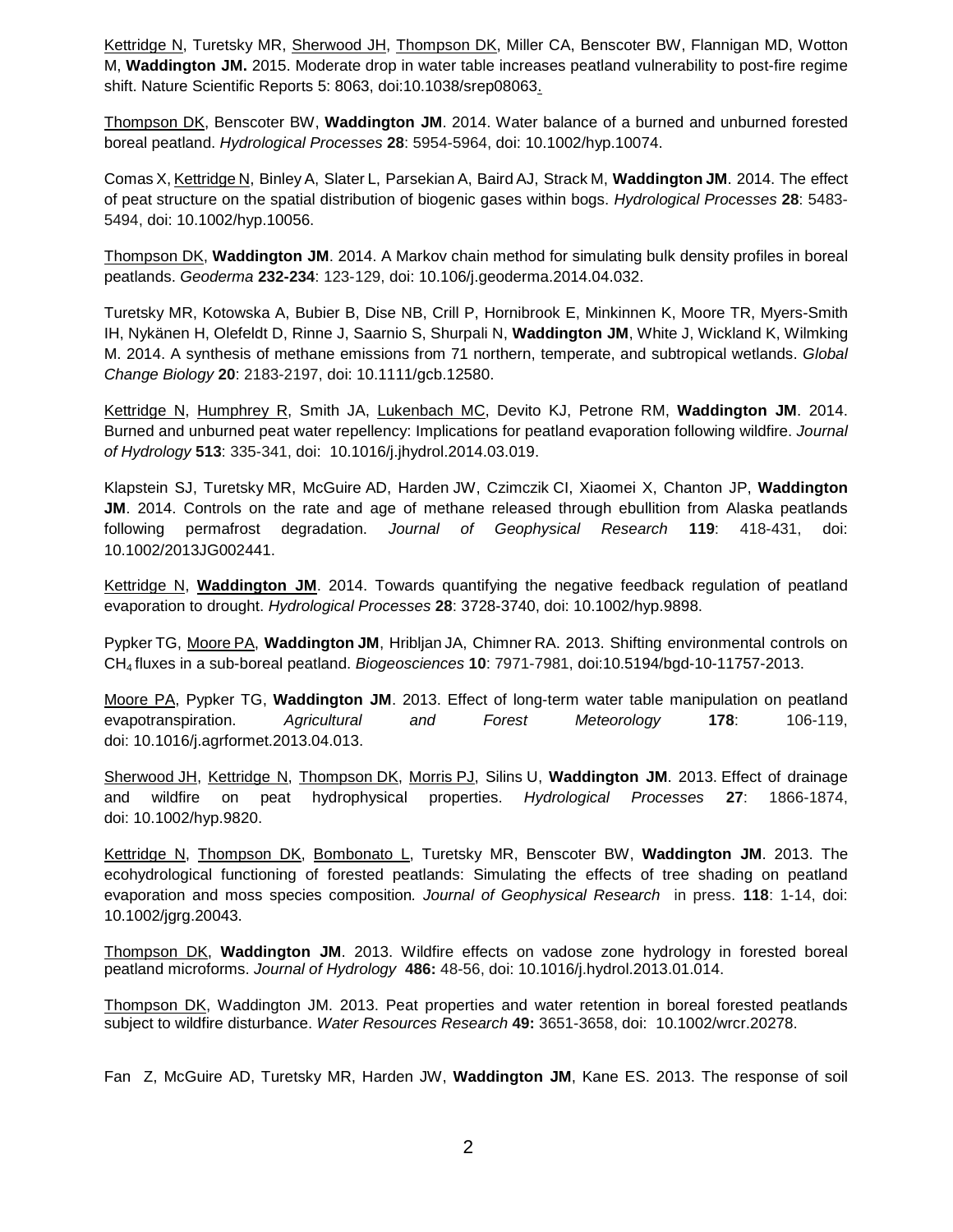Kettridge N, Turetsky MR, Sherwood JH, Thompson DK, Miller CA, Benscoter BW, Flannigan MD, Wotton M, **Waddington JM.** 2015. Moderate drop in water table increases peatland vulnerability to post-fire regime shift. Nature Scientific Reports 5: 8063, doi:10.1038/srep08063.

Thompson DK, Benscoter BW, **Waddington JM**. 2014. Water balance of a burned and unburned forested boreal peatland. *Hydrological Processes* **28**: 5954-5964, doi: 10.1002/hyp.10074.

Comas X, Kettridge N, Binley A, Slater L, Parsekian A, Baird AJ, Strack M, **Waddington JM**. 2014. The effect of peat structure on the spatial distribution of biogenic gases within bogs. *Hydrological Processes* **28**: 5483- 5494, doi: 10.1002/hyp.10056.

Thompson DK, **Waddington JM**. 2014. A Markov chain method for simulating bulk density profiles in boreal peatlands. *Geoderma* **232-234**: 123-129, doi: 10.106/j.geoderma.2014.04.032.

Turetsky MR, Kotowska A, Bubier B, Dise NB, Crill P, Hornibrook E, Minkinnen K, Moore TR, Myers-Smith IH, Nykänen H, Olefeldt D, Rinne J, Saarnio S, Shurpali N, **Waddington JM**, White J, Wickland K, Wilmking M. 2014. A synthesis of methane emissions from 71 northern, temperate, and subtropical wetlands. *Global Change Biology* **20**: 2183-2197, doi: 10.1111/gcb.12580.

Kettridge N, Humphrey R, Smith JA, Lukenbach MC, Devito KJ, Petrone RM, **Waddington JM**. 2014. Burned and unburned peat water repellency: Implications for peatland evaporation following wildfire. *Journal of Hydrology* **513**: 335-341, doi: 10.1016/j.jhydrol.2014.03.019.

Klapstein SJ, Turetsky MR, McGuire AD, Harden JW, Czimczik CI, Xiaomei X, Chanton JP, **Waddington JM**. 2014. Controls on the rate and age of methane released through ebullition from Alaska peatlands following permafrost degradation. *Journal of Geophysical Research* **119**: 418-431, doi: 10.1002/2013JG002441.

Kettridge N, **Waddington JM**. 2014. Towards quantifying the negative feedback regulation of peatland evaporation to drought. *Hydrological Processes* **28**: 3728-3740, doi: 10.1002/hyp.9898.

Pypker TG, Moore PA, **Waddington JM**, Hribljan JA, Chimner RA. 2013. Shifting environmental controls on CH4 fluxes in a sub-boreal peatland. *Biogeosciences* **10**: 7971-7981, doi:10.5194/bgd-10-11757-2013.

Moore PA, Pypker TG, **Waddington JM**. 2013. Effect of long-term water table manipulation on peatland evapotranspiration. *Agricultural and Forest Meteorology* **178**: 106-119, doi: 10.1016/j.agrformet.2013.04.013.

Sherwood JH, Kettridge N, Thompson DK, Morris PJ, Silins U, **Waddington JM**. 2013. Effect of drainage and wildfire on peat hydrophysical properties. *Hydrological Processes* **27**: 1866-1874, doi: 10.1002/hyp.9820.

Kettridge N, Thompson DK, Bombonato L, Turetsky MR, Benscoter BW, **Waddington JM**. 2013. The ecohydrological functioning of forested peatlands: Simulating the effects of tree shading on peatland evaporation and moss species composition*. Journal of Geophysical Research* in press. **118**: 1-14, doi: 10.1002/jgrg.20043.

Thompson DK, **Waddington JM**. 2013. Wildfire effects on vadose zone hydrology in forested boreal peatland microforms. *Journal of Hydrology* **486:** 48-56, doi: 10.1016/j.hydrol.2013.01.014.

Thompson DK, Waddington JM. 2013. Peat properties and water retention in boreal forested peatlands subject to wildfire disturbance. *Water Resources Research* **49:** 3651-3658, doi: 10.1002/wrcr.20278.

Fan Z, McGuire AD, Turetsky MR, Harden JW, **Waddington JM**, Kane ES. 2013. The response of soil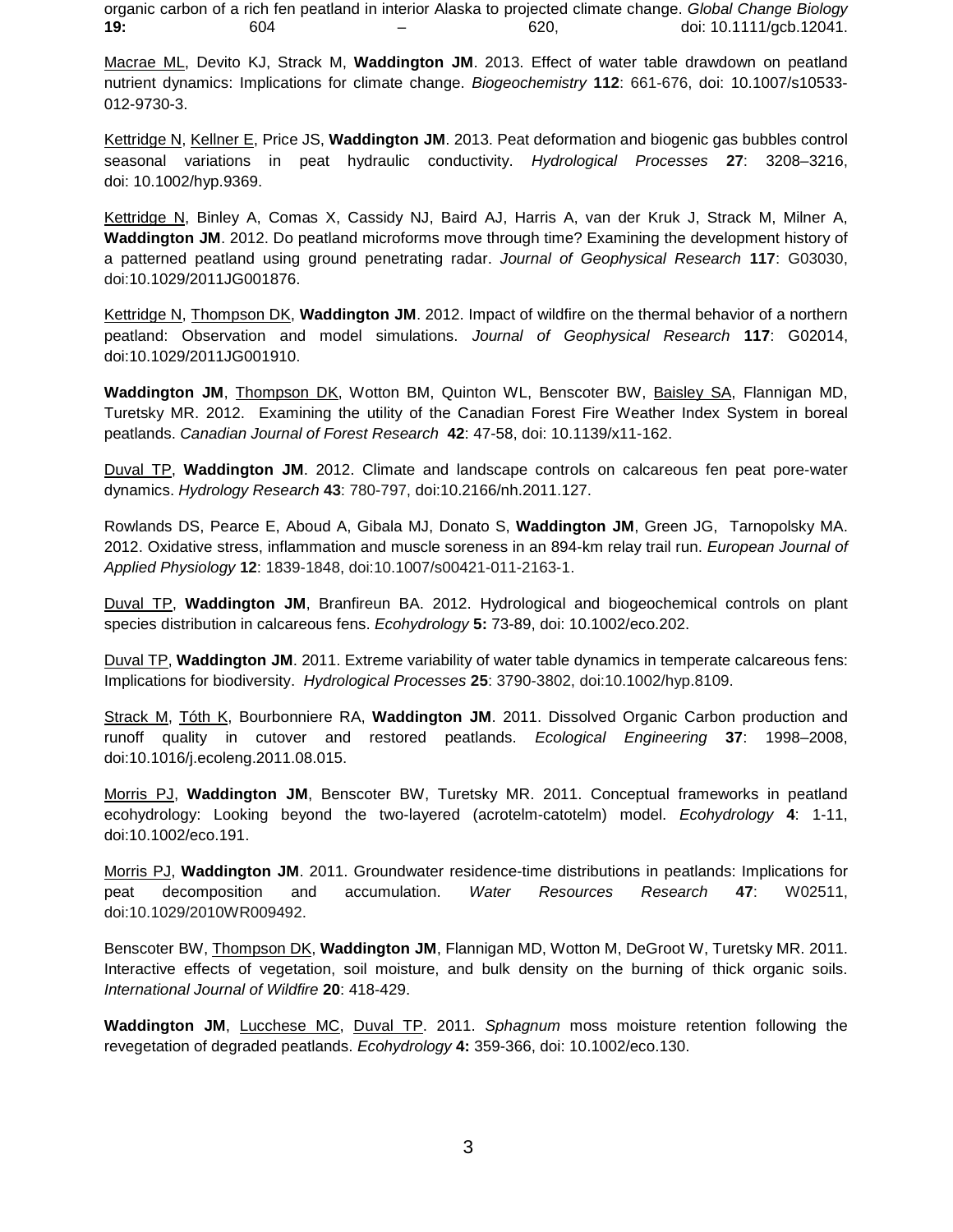organic carbon of a rich fen peatland in interior Alaska to projected climate change. *Global Change Biology*  **19:** 604 – 620, doi: 10.1111/gcb.12041.

Macrae ML, Devito KJ, Strack M, **Waddington JM**. 2013. Effect of water table drawdown on peatland nutrient dynamics: Implications for climate change. *Biogeochemistry* **112**: 661-676, doi: 10.1007/s10533- 012-9730-3.

Kettridge N, Kellner E, Price JS, **Waddington JM**. 2013. Peat deformation and biogenic gas bubbles control seasonal variations in peat hydraulic conductivity. *Hydrological Processes* **27**: 3208–3216, doi: 10.1002/hyp.9369.

Kettridge N, Binley A, Comas X, Cassidy NJ, Baird AJ, Harris A, van der Kruk J, Strack M, Milner A, **Waddington JM**. 2012. Do peatland microforms move through time? Examining the development history of a patterned peatland using ground penetrating radar. *Journal of Geophysical Research* **117**: G03030, doi:10.1029/2011JG001876.

Kettridge N, Thompson DK, **Waddington JM**. 2012. Impact of wildfire on the thermal behavior of a northern peatland: Observation and model simulations. *Journal of Geophysical Research* **117**: G02014, doi:10.1029/2011JG001910.

Waddington JM, Thompson DK, Wotton BM, Quinton WL, Benscoter BW, Baisley SA, Flannigan MD, Turetsky MR. 2012. Examining the utility of the Canadian Forest Fire Weather Index System in boreal peatlands. *Canadian Journal of Forest Research* **42**: 47-58, doi: 10.1139/x11-162.

Duval TP, **Waddington JM**. 2012. Climate and landscape controls on calcareous fen peat pore-water dynamics. *Hydrology Research* **43**: 780-797, doi:10.2166/nh.2011.127.

Rowlands DS, Pearce E, Aboud A, Gibala MJ, Donato S, **Waddington JM**, Green JG, Tarnopolsky MA. 2012. Oxidative stress, inflammation and muscle soreness in an 894-km relay trail run. *European Journal of Applied Physiology* **12**: 1839-1848, doi:10.1007/s00421-011-2163-1.

Duval TP, **Waddington JM**, Branfireun BA. 2012. Hydrological and biogeochemical controls on plant species distribution in calcareous fens. *Ecohydrology* **5:** 73-89, doi: 10.1002/eco.202.

Duval TP, **Waddington JM**. 2011. Extreme variability of water table dynamics in temperate calcareous fens: Implications for biodiversity. *Hydrological Processes* **25**: 3790-3802, doi:10.1002/hyp.8109.

Strack M, Tóth K, Bourbonniere RA, **Waddington JM**. 2011. Dissolved Organic Carbon production and runoff quality in cutover and restored peatlands. *Ecological Engineering* **37**: 1998–2008, doi:10.1016/j.ecoleng.2011.08.015.

Morris PJ, **Waddington JM**, Benscoter BW, Turetsky MR. 2011. Conceptual frameworks in peatland ecohydrology: Looking beyond the two-layered (acrotelm-catotelm) model. *Ecohydrology* **4**: 1-11, doi:10.1002/eco.191.

Morris PJ, **Waddington JM**. 2011. Groundwater residence-time distributions in peatlands: Implications for peat decomposition and accumulation. *Water Resources Research* **47**: W02511, doi:10.1029/2010WR009492.

Benscoter BW, **Thompson DK, Waddington JM**, Flannigan MD, Wotton M, DeGroot W, Turetsky MR. 2011. Interactive effects of vegetation, soil moisture, and bulk density on the burning of thick organic soils. *International Journal of Wildfire* **20**: 418-429.

**Waddington JM**, Lucchese MC, Duval TP. 2011. *Sphagnum* moss moisture retention following the revegetation of degraded peatlands. *Ecohydrology* **4:** 359-366, doi: 10.1002/eco.130.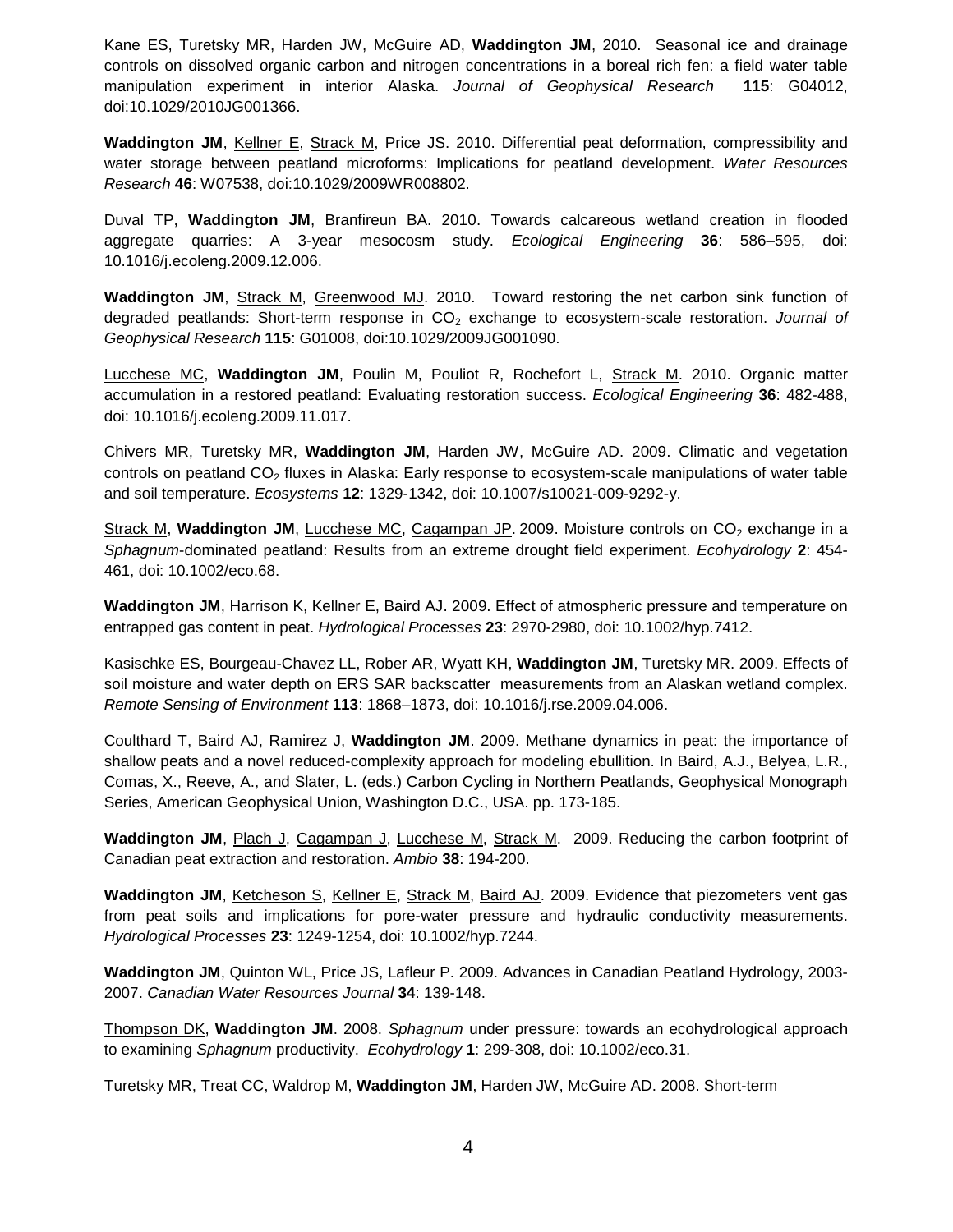Kane ES, Turetsky MR, Harden JW, McGuire AD, **Waddington JM**, 2010. Seasonal ice and drainage controls on dissolved organic carbon and nitrogen concentrations in a boreal rich fen: a field water table manipulation experiment in interior Alaska. *Journal of Geophysical Research* **115**: G04012, doi:10.1029/2010JG001366.

**Waddington JM**, Kellner E, Strack M, Price JS. 2010. Differential peat deformation, compressibility and water storage between peatland microforms: Implications for peatland development. *Water Resources Research* **46**: W07538, doi:10.1029/2009WR008802.

Duval TP, **Waddington JM**, Branfireun BA. 2010. Towards calcareous wetland creation in flooded aggregate quarries: A 3-year mesocosm study. *Ecological Engineering* **36**: 586–595, doi: 10.1016/j.ecoleng.2009.12.006.

Waddington JM, Strack M, Greenwood MJ. 2010. Toward restoring the net carbon sink function of degraded peatlands: Short-term response in CO<sub>2</sub> exchange to ecosystem-scale restoration. Journal of *Geophysical Research* **115**: G01008, doi:10.1029/2009JG001090.

Lucchese MC, **Waddington JM**, Poulin M, Pouliot R, Rochefort L, Strack M. 2010. Organic matter accumulation in a restored peatland: Evaluating restoration success. *Ecological Engineering* **36**: 482-488, doi: 10.1016/j.ecoleng.2009.11.017.

Chivers MR, Turetsky MR, **Waddington JM**, Harden JW, McGuire AD. 2009. Climatic and vegetation controls on peatland  $CO<sub>2</sub>$  fluxes in Alaska: Early response to ecosystem-scale manipulations of water table and soil temperature. *Ecosystems* **12**: 1329-1342, doi: 10.1007/s10021-009-9292-y.

Strack M, **Waddington JM**, Lucchese MC, Cagampan JP. 2009. Moisture controls on CO<sub>2</sub> exchange in a *Sphagnum*-dominated peatland: Results from an extreme drought field experiment. *Ecohydrology* **2**: 454- 461, doi: 10.1002/eco.68.

**Waddington JM**, Harrison K, Kellner E, Baird AJ. 2009. Effect of atmospheric pressure and temperature on entrapped gas content in peat. *Hydrological Processes* **23**: 2970-2980, doi: 10.1002/hyp.7412.

Kasischke ES, Bourgeau-Chavez LL, Rober AR, Wyatt KH, **Waddington JM**, Turetsky MR. 2009. Effects of soil moisture and water depth on ERS SAR backscatter measurements from an Alaskan wetland complex. *Remote Sensing of Environment* **113**: 1868–1873, doi: 10.1016/j.rse.2009.04.006.

Coulthard T, Baird AJ, Ramirez J, **Waddington JM**. 2009. Methane dynamics in peat: the importance of shallow peats and a novel reduced-complexity approach for modeling ebullition. In Baird, A.J., Belyea, L.R., Comas, X., Reeve, A., and Slater, L. (eds.) Carbon Cycling in Northern Peatlands, Geophysical Monograph Series, American Geophysical Union, Washington D.C., USA. pp. 173-185.

Waddington JM, Plach J, Cagampan J, Lucchese M, Strack M. 2009. Reducing the carbon footprint of Canadian peat extraction and restoration. *Ambio* **38**: 194-200.

**Waddington JM**, Ketcheson S, Kellner E, Strack M, Baird AJ. 2009. Evidence that piezometers vent gas from peat soils and implications for pore-water pressure and hydraulic conductivity measurements. *Hydrological Processes* **23**: 1249-1254, doi: 10.1002/hyp.7244.

**Waddington JM**, Quinton WL, Price JS, Lafleur P. 2009. Advances in Canadian Peatland Hydrology, 2003- 2007. *Canadian Water Resources Journal* **34**: 139-148.

Thompson DK, **Waddington JM**. 2008. *Sphagnum* under pressure: towards an ecohydrological approach to examining *Sphagnum* productivity. *Ecohydrology* **1**: 299-308, doi: 10.1002/eco.31.

Turetsky MR, Treat CC, Waldrop M, **Waddington JM**, Harden JW, McGuire AD. 2008. Short-term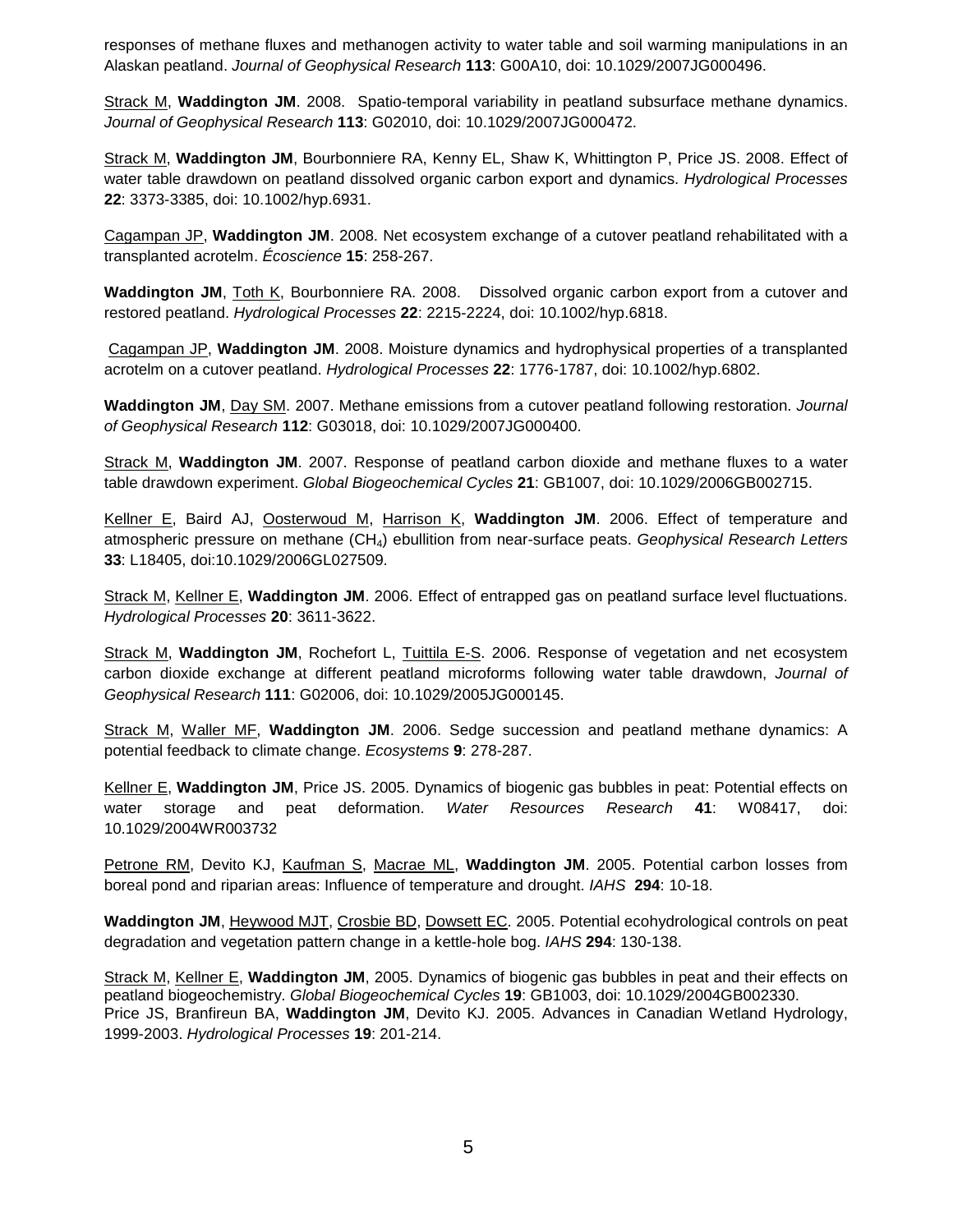responses of methane fluxes and methanogen activity to water table and soil warming manipulations in an Alaskan peatland. *Journal of Geophysical Research* **113**: G00A10, doi: 10.1029/2007JG000496.

Strack M, **Waddington JM**. 2008. Spatio-temporal variability in peatland subsurface methane dynamics. *Journal of Geophysical Research* **113**: G02010, doi: 10.1029/2007JG000472.

Strack M, **Waddington JM**, Bourbonniere RA, Kenny EL, Shaw K, Whittington P, Price JS. 2008. Effect of water table drawdown on peatland dissolved organic carbon export and dynamics. *Hydrological Processes* **22**: 3373-3385, doi: 10.1002/hyp.6931.

Cagampan JP, **Waddington JM**. 2008. Net ecosystem exchange of a cutover peatland rehabilitated with a transplanted acrotelm. *Écoscience* **15**: 258-267.

**Waddington JM**, Toth K, Bourbonniere RA. 2008. Dissolved organic carbon export from a cutover and restored peatland. *Hydrological Processes* **22**: 2215-2224, doi: 10.1002/hyp.6818.

Cagampan JP, **Waddington JM**. 2008. Moisture dynamics and hydrophysical properties of a transplanted acrotelm on a cutover peatland. *Hydrological Processes* **22**: 1776-1787, doi: 10.1002/hyp.6802.

**Waddington JM**, Day SM. 2007. Methane emissions from a cutover peatland following restoration. *Journal of Geophysical Research* **112**: G03018, doi: 10.1029/2007JG000400.

Strack M, **Waddington JM**. 2007. Response of peatland carbon dioxide and methane fluxes to a water table drawdown experiment. *Global Biogeochemical Cycles* **21**: GB1007, doi: 10.1029/2006GB002715.

Kellner E, Baird AJ, **Oosterwoud M, Harrison K, Waddington JM**. 2006. Effect of temperature and atmospheric pressure on methane (CH4) ebullition from near-surface peats. *Geophysical Research Letters* **33**: L18405, doi:10.1029/2006GL027509.

Strack M, Kellner E, **Waddington JM**. 2006. Effect of entrapped gas on peatland surface level fluctuations. *Hydrological Processes* **20**: 3611-3622.

Strack M, **Waddington JM**, Rochefort L, Tuittila E-S. 2006. Response of vegetation and net ecosystem carbon dioxide exchange at different peatland microforms following water table drawdown, *Journal of Geophysical Research* **111**: G02006, doi: 10.1029/2005JG000145.

Strack M, Waller MF, **Waddington JM**. 2006. Sedge succession and peatland methane dynamics: A potential feedback to climate change. *Ecosystems* **9**: 278-287.

Kellner E, **Waddington JM**, Price JS. 2005. Dynamics of biogenic gas bubbles in peat: Potential effects on water storage and peat deformation. *Water Resources Research* **41**: W08417, doi: 10.1029/2004WR003732

Petrone RM, Devito KJ, Kaufman S, Macrae ML, Waddington JM. 2005. Potential carbon losses from boreal pond and riparian areas: Influence of temperature and drought. *IAHS* **294**: 10-18.

**Waddington JM**, Heywood MJT, Crosbie BD, Dowsett EC. 2005. Potential ecohydrological controls on peat degradation and vegetation pattern change in a kettle-hole bog. *IAHS* **294**: 130-138.

Strack M, Kellner E, **Waddington JM**, 2005. Dynamics of biogenic gas bubbles in peat and their effects on peatland biogeochemistry. *Global Biogeochemical Cycles* **19**: GB1003, doi: 10.1029/2004GB002330. Price JS, Branfireun BA, **Waddington JM**, Devito KJ. 2005. Advances in Canadian Wetland Hydrology, 1999-2003. *Hydrological Processes* **19**: 201-214.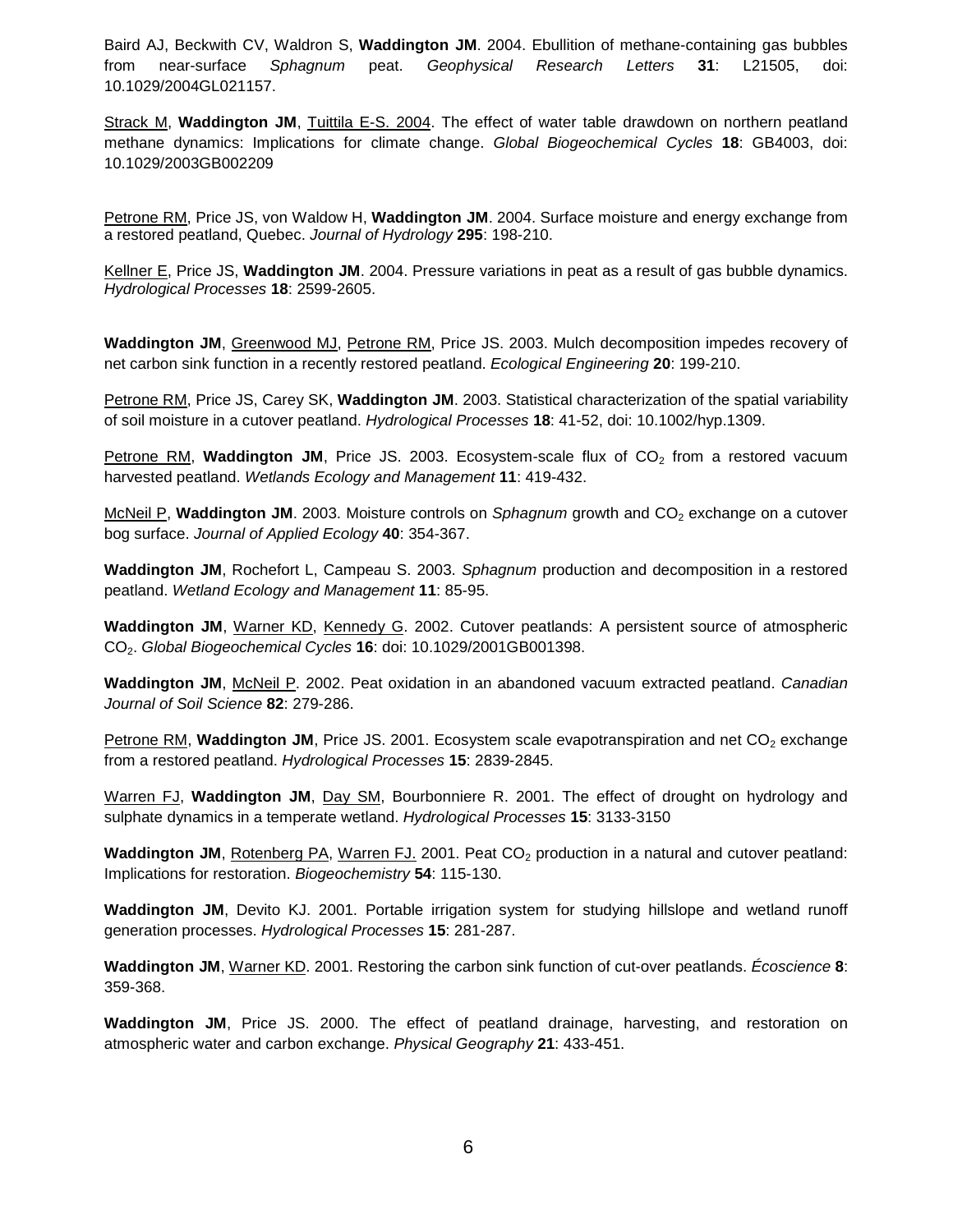Baird AJ, Beckwith CV, Waldron S, **Waddington JM**. 2004. Ebullition of methane-containing gas bubbles from near-surface *Sphagnum* peat. *Geophysical Research Letters* **31**: L21505, doi: 10.1029/2004GL021157.

Strack M, **Waddington JM**, Tuittila E-S. 2004. The effect of water table drawdown on northern peatland methane dynamics: Implications for climate change. *Global Biogeochemical Cycles* **18**: GB4003, doi: 10.1029/2003GB002209

Petrone RM, Price JS, von Waldow H, **Waddington JM**. 2004. Surface moisture and energy exchange from a restored peatland, Quebec. *Journal of Hydrology* **295**: 198-210.

Kellner E, Price JS, **Waddington JM**. 2004. Pressure variations in peat as a result of gas bubble dynamics. *Hydrological Processes* **18**: 2599-2605.

**Waddington JM**, Greenwood MJ, Petrone RM, Price JS. 2003. Mulch decomposition impedes recovery of net carbon sink function in a recently restored peatland. *Ecological Engineering* **20**: 199-210.

Petrone RM, Price JS, Carey SK, **Waddington JM**. 2003. Statistical characterization of the spatial variability of soil moisture in a cutover peatland. *Hydrological Processes* **18**: 41-52, doi: 10.1002/hyp.1309.

**Petrone RM, Waddington JM, Price JS. 2003. Ecosystem-scale flux of**  $CO<sub>2</sub>$  **from a restored vacuum** harvested peatland. *Wetlands Ecology and Management* **11**: 419-432.

McNeil P, Waddington JM. 2003. Moisture controls on *Sphagnum* growth and CO<sub>2</sub> exchange on a cutover bog surface. *Journal of Applied Ecology* **40**: 354-367.

**Waddington JM**, Rochefort L, Campeau S. 2003. *Sphagnum* production and decomposition in a restored peatland. *Wetland Ecology and Management* **11**: 85-95.

**Waddington JM**, Warner KD, Kennedy G. 2002. Cutover peatlands: A persistent source of atmospheric CO2. *Global Biogeochemical Cycles* **16**: doi: 10.1029/2001GB001398.

**Waddington JM**, McNeil P. 2002. Peat oxidation in an abandoned vacuum extracted peatland. *Canadian Journal of Soil Science* **82**: 279-286.

Petrone RM, Waddington JM, Price JS. 2001. Ecosystem scale evapotranspiration and net CO<sub>2</sub> exchange from a restored peatland. *Hydrological Processes* **15**: 2839-2845.

Warren FJ, **Waddington JM**, Day SM, Bourbonniere R. 2001. The effect of drought on hydrology and sulphate dynamics in a temperate wetland. *Hydrological Processes* **15**: 3133-3150

**Waddington JM**, Rotenberg PA, Warren FJ, 2001. Peat CO<sub>2</sub> production in a natural and cutover peatland: Implications for restoration. *Biogeochemistry* **54**: 115-130.

**Waddington JM**, Devito KJ. 2001. Portable irrigation system for studying hillslope and wetland runoff generation processes. *Hydrological Processes* **15**: 281-287.

**Waddington JM**, Warner KD. 2001. Restoring the carbon sink function of cut-over peatlands. *Écoscience* **8**: 359-368.

**Waddington JM**, Price JS. 2000. The effect of peatland drainage, harvesting, and restoration on atmospheric water and carbon exchange. *Physical Geography* **21**: 433-451.